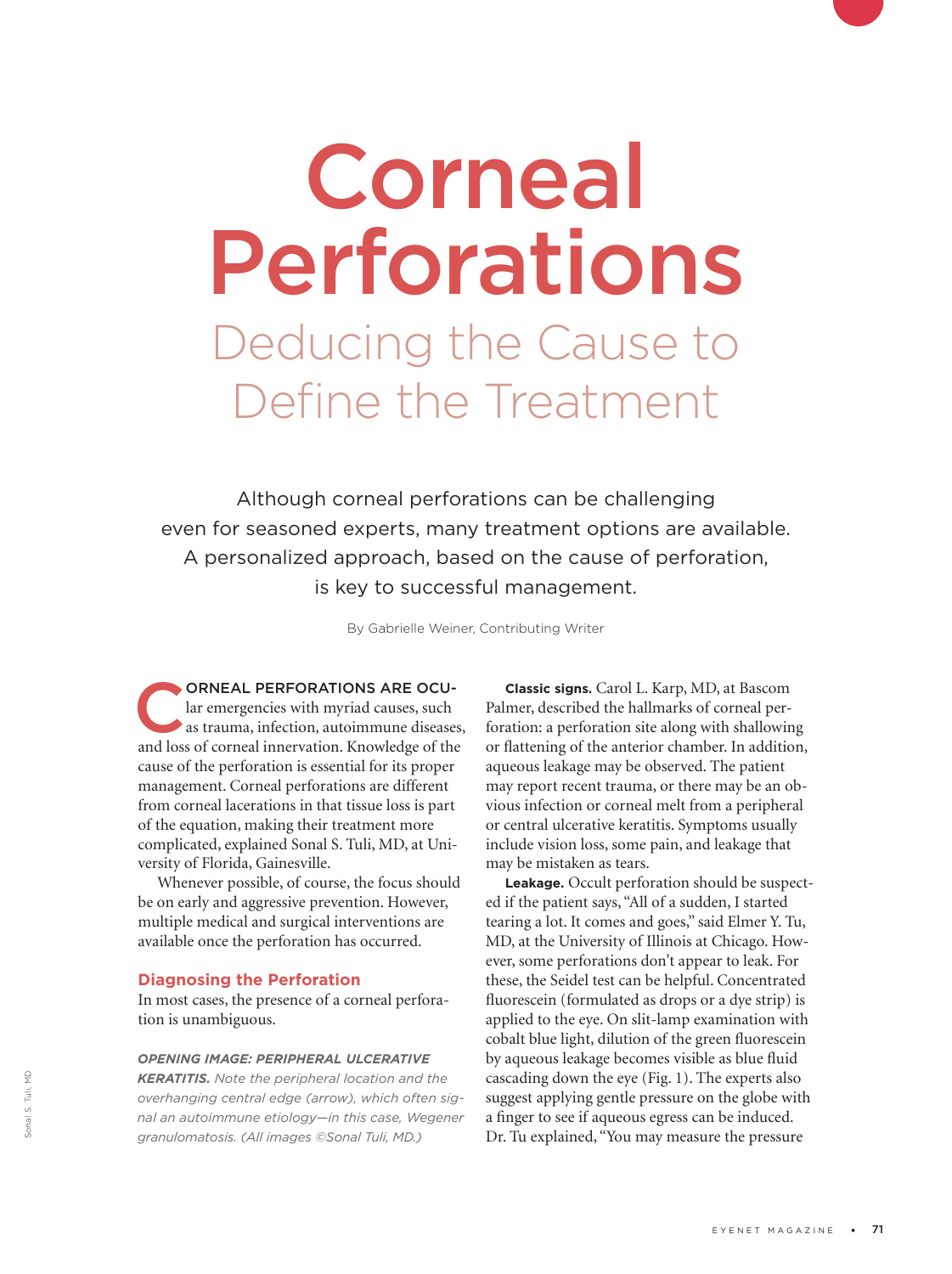# Corneal Perforations Deducing the Cause to Define the Treatment

Although corneal perforations can be challenging even for seasoned experts, many treatment options are available. A personalized approach, based on the cause of perforation, is key to successful management.

By Gabrielle Weiner, Contributing Writer

ORNEAL PERFORATIONS ARE OCU-<br>lar emergencies with myriad causes, such<br>as trauma, infection, autoimmune diseases,<br>and loss of corneal innervation. Knowledge of the lar emergencies with myriad causes, such and loss of corneal innervation. Knowledge of the cause of the perforation is essential for its proper management. Corneal perforations are different from corneal lacerations in that tissue loss is part of the equation, making their treatment more complicated, explained Sonal S. Tuli, MD, at University of Florida, Gainesville.

Whenever possible, of course, the focus should be on early and aggressive prevention. However, multiple medical and surgical interventions are available once the perforation has occurred.

## **Diagnosing the Perforation**

In most cases, the presence of a corneal perforation is unambiguous.

## *OPENING IMAGE: PERIPHERAL ULCERATIVE*

*KERATITIS. Note the peripheral location and the overhanging central edge (arrow), which often signal an autoimmune etiology—in this case, Wegener granulomatosis. (All images ©Sonal Tuli, MD.)*

**Classic signs.** Carol L. Karp, MD, at Bascom Palmer, described the hallmarks of corneal perforation: a perforation site along with shallowing or flattening of the anterior chamber. In addition, aqueous leakage may be observed. The patient may report recent trauma, or there may be an obvious infection or corneal melt from a peripheral or central ulcerative keratitis. Symptoms usually include vision loss, some pain, and leakage that may be mistaken as tears.

**Leakage.** Occult perforation should be suspected if the patient says, "All of a sudden, I started tearing a lot. It comes and goes," said Elmer Y. Tu, MD, at the University of Illinois at Chicago. However, some perforations don't appear to leak. For these, the Seidel test can be helpful. Concentrated fluorescein (formulated as drops or a dye strip) is applied to the eye. On slit-lamp examination with cobalt blue light, dilution of the green fluorescein by aqueous leakage becomes visible as blue fluid cascading down the eye (Fig. 1). The experts also suggest applying gentle pressure on the globe with a finger to see if aqueous egress can be induced. Dr. Tu explained, "You may measure the pressure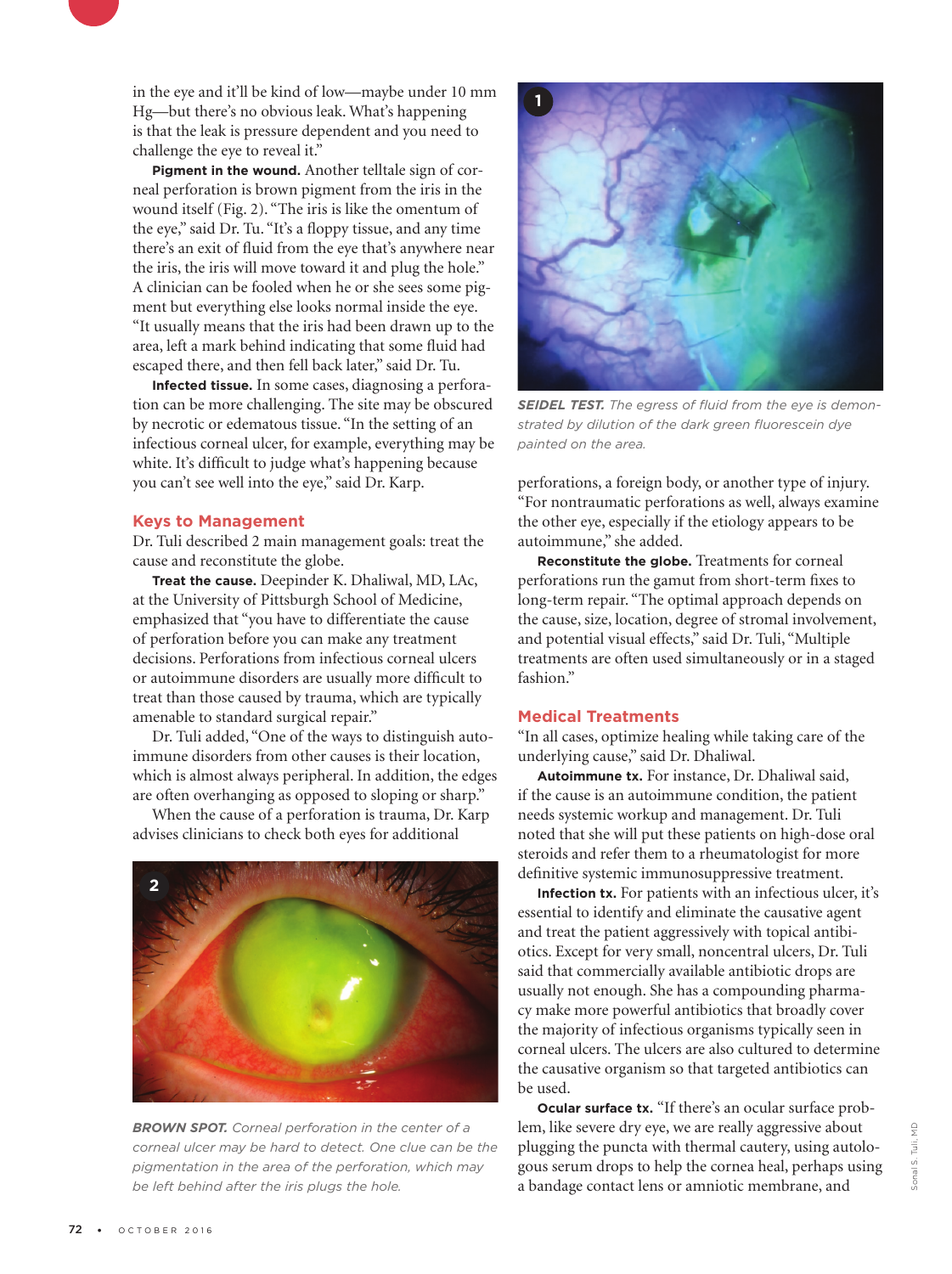in the eye and it'll be kind of low—maybe under 10 mm Hg—but there's no obvious leak. What's happening is that the leak is pressure dependent and you need to challenge the eye to reveal it."

**Pigment in the wound.** Another telltale sign of corneal perforation is brown pigment from the iris in the wound itself (Fig. 2). "The iris is like the omentum of the eye," said Dr. Tu. "It's a floppy tissue, and any time there's an exit of fluid from the eye that's anywhere near the iris, the iris will move toward it and plug the hole." A clinician can be fooled when he or she sees some pigment but everything else looks normal inside the eye. "It usually means that the iris had been drawn up to the area, left a mark behind indicating that some fluid had escaped there, and then fell back later," said Dr. Tu.

**Infected tissue.** In some cases, diagnosing a perforation can be more challenging. The site may be obscured by necrotic or edematous tissue. "In the setting of an infectious corneal ulcer, for example, everything may be white. It's difficult to judge what's happening because you can't see well into the eye," said Dr. Karp.

## **Keys to Management**

Dr. Tuli described 2 main management goals: treat the cause and reconstitute the globe.

**Treat the cause.** Deepinder K. Dhaliwal, MD, LAc, at the University of Pittsburgh School of Medicine, emphasized that "you have to differentiate the cause of perforation before you can make any treatment decisions. Perforations from infectious corneal ulcers or autoimmune disorders are usually more difficult to treat than those caused by trauma, which are typically amenable to standard surgical repair."

Dr. Tuli added, "One of the ways to distinguish autoimmune disorders from other causes is their location, which is almost always peripheral. In addition, the edges are often overhanging as opposed to sloping or sharp."

When the cause of a perforation is trauma, Dr. Karp advises clinicians to check both eyes for additional



*BROWN SPOT. Corneal perforation in the center of a corneal ulcer may be hard to detect. One clue can be the pigmentation in the area of the perforation, which may be left behind after the iris plugs the hole.* 



*SEIDEL TEST. The egress of fluid from the eye is demonstrated by dilution of the dark green fluorescein dye painted on the area.*

perforations, a foreign body, or another type of injury. "For nontraumatic perforations as well, always examine the other eye, especially if the etiology appears to be autoimmune," she added.

**Reconstitute the globe.** Treatments for corneal perforations run the gamut from short-term fixes to long-term repair. "The optimal approach depends on the cause, size, location, degree of stromal involvement, and potential visual effects," said Dr. Tuli, "Multiple treatments are often used simultaneously or in a staged fashion."

# **Medical Treatments**

"In all cases, optimize healing while taking care of the underlying cause," said Dr. Dhaliwal.

**Autoimmune tx.** For instance, Dr. Dhaliwal said, if the cause is an autoimmune condition, the patient needs systemic workup and management. Dr. Tuli noted that she will put these patients on high-dose oral steroids and refer them to a rheumatologist for more definitive systemic immunosuppressive treatment.

**Infection tx.** For patients with an infectious ulcer, it's essential to identify and eliminate the causative agent and treat the patient aggressively with topical antibiotics. Except for very small, noncentral ulcers, Dr. Tuli said that commercially available antibiotic drops are usually not enough. She has a compounding pharmacy make more powerful antibiotics that broadly cover the majority of infectious organisms typically seen in corneal ulcers. The ulcers are also cultured to determine the causative organism so that targeted antibiotics can be used.

**Ocular surface tx.** "If there's an ocular surface problem, like severe dry eye, we are really aggressive about plugging the puncta with thermal cautery, using autologous serum drops to help the cornea heal, perhaps using a bandage contact lens or amniotic membrane, and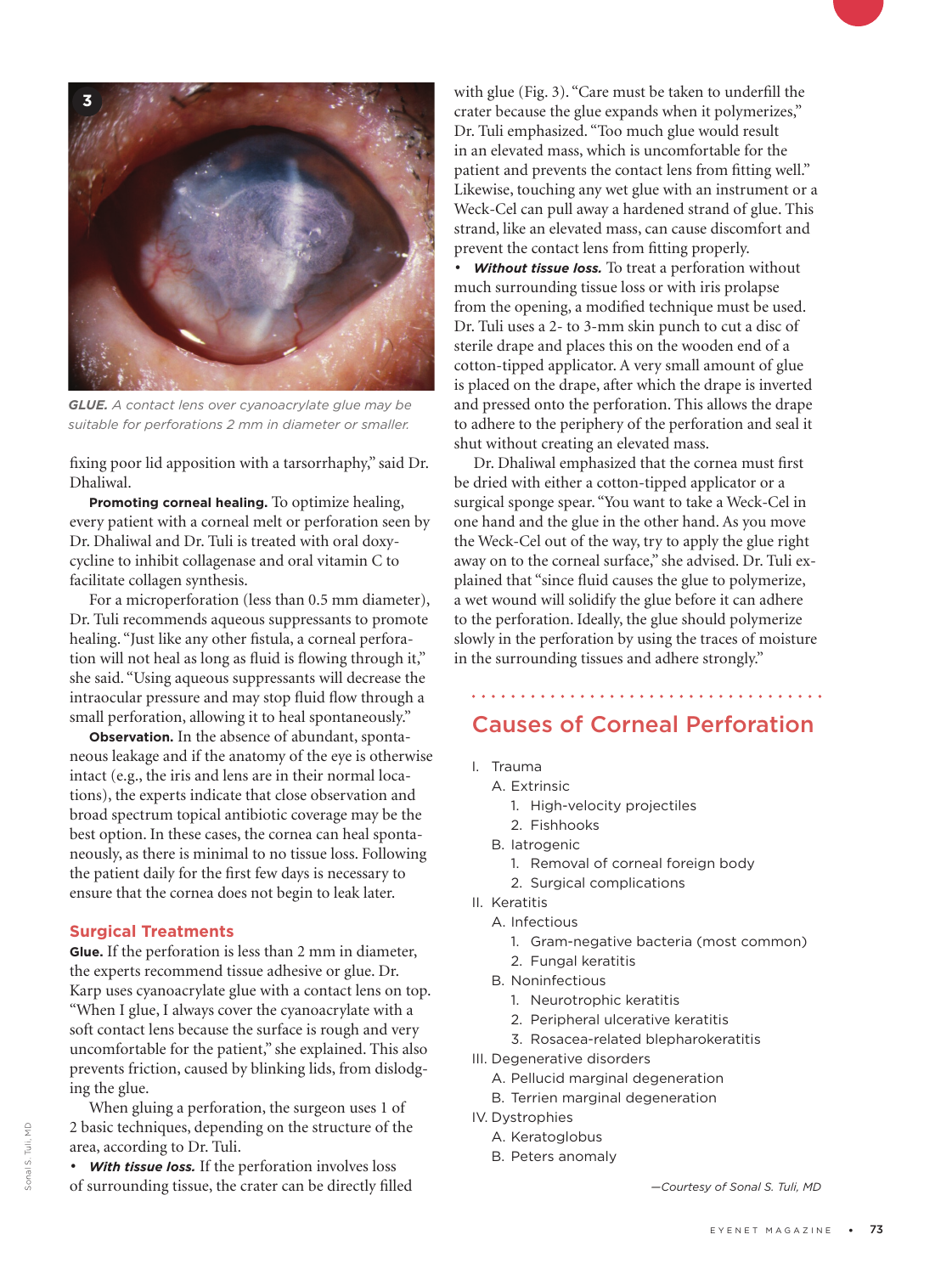

*GLUE. A contact lens over cyanoacrylate glue may be suitable for perforations 2 mm in diameter or smaller.*

fixing poor lid apposition with a tarsorrhaphy," said Dr. Dhaliwal.

**Promoting corneal healing.** To optimize healing, every patient with a corneal melt or perforation seen by Dr. Dhaliwal and Dr. Tuli is treated with oral doxycycline to inhibit collagenase and oral vitamin C to facilitate collagen synthesis.

For a microperforation (less than 0.5 mm diameter), Dr. Tuli recommends aqueous suppressants to promote healing. "Just like any other fistula, a corneal perforation will not heal as long as fluid is flowing through it," she said. "Using aqueous suppressants will decrease the intraocular pressure and may stop fluid flow through a small perforation, allowing it to heal spontaneously."

**Observation.** In the absence of abundant, spontaneous leakage and if the anatomy of the eye is otherwise intact (e.g., the iris and lens are in their normal locations), the experts indicate that close observation and broad spectrum topical antibiotic coverage may be the best option. In these cases, the cornea can heal spontaneously, as there is minimal to no tissue loss. Following the patient daily for the first few days is necessary to ensure that the cornea does not begin to leak later.

## **Surgical Treatments**

**Glue.** If the perforation is less than 2 mm in diameter, the experts recommend tissue adhesive or glue. Dr. Karp uses cyanoacrylate glue with a contact lens on top. "When I glue, I always cover the cyanoacrylate with a soft contact lens because the surface is rough and very uncomfortable for the patient," she explained. This also prevents friction, caused by blinking lids, from dislodging the glue.

When gluing a perforation, the surgeon uses 1 of 2 basic techniques, depending on the structure of the area, according to Dr. Tuli.

*• With tissue loss.* If the perforation involves loss of surrounding tissue, the crater can be directly filled with glue (Fig. 3). "Care must be taken to underfill the crater because the glue expands when it polymerizes," Dr. Tuli emphasized. "Too much glue would result in an elevated mass, which is uncomfortable for the patient and prevents the contact lens from fitting well." Likewise, touching any wet glue with an instrument or a Weck-Cel can pull away a hardened strand of glue. This strand, like an elevated mass, can cause discomfort and prevent the contact lens from fitting properly.

*• Without tissue loss.* To treat a perforation without much surrounding tissue loss or with iris prolapse from the opening, a modified technique must be used. Dr. Tuli uses a 2- to 3-mm skin punch to cut a disc of sterile drape and places this on the wooden end of a cotton-tipped applicator. A very small amount of glue is placed on the drape, after which the drape is inverted and pressed onto the perforation. This allows the drape to adhere to the periphery of the perforation and seal it shut without creating an elevated mass.

Dr. Dhaliwal emphasized that the cornea must first be dried with either a cotton-tipped applicator or a surgical sponge spear. "You want to take a Weck-Cel in one hand and the glue in the other hand. As you move the Weck-Cel out of the way, try to apply the glue right away on to the corneal surface," she advised. Dr. Tuli explained that "since fluid causes the glue to polymerize, a wet wound will solidify the glue before it can adhere to the perforation. Ideally, the glue should polymerize slowly in the perforation by using the traces of moisture in the surrounding tissues and adhere strongly."

# Causes of Corneal Perforation

- I. Trauma
	- A. Extrinsic
		- 1. High-velocity projectiles
		- 2. Fishhooks
	- B. Iatrogenic
		- 1. Removal of corneal foreign body
		- 2. Surgical complications
- II. Keratitis
	- A. Infectious
		- 1. Gram-negative bacteria (most common)
		- 2. Fungal keratitis
	- B. Noninfectious
		- 1. Neurotrophic keratitis
		- 2. Peripheral ulcerative keratitis
		- 3. Rosacea-related blepharokeratitis
- III. Degenerative disorders
	- A. Pellucid marginal degeneration
	- B. Terrien marginal degeneration
- IV. Dystrophies
	- A. Keratoglobus
		- B. Peters anomaly

*—Courtesy of Sonal S. Tuli, MD*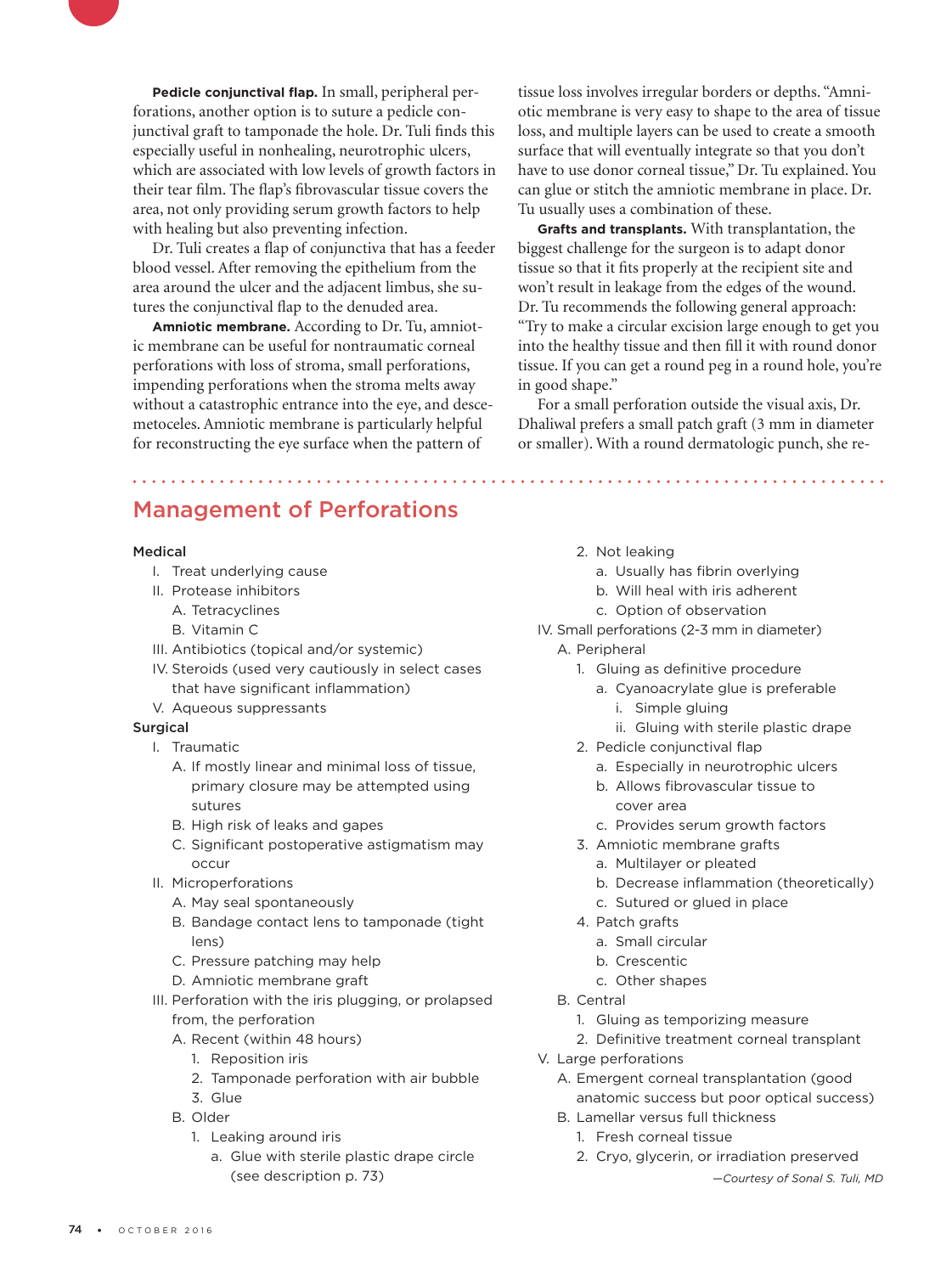**Pedicle conjunctival flap.** In small, peripheral perforations, another option is to suture a pedicle conjunctival graft to tamponade the hole. Dr. Tuli finds this especially useful in nonhealing, neurotrophic ulcers, which are associated with low levels of growth factors in their tear film. The flap's fibrovascular tissue covers the area, not only providing serum growth factors to help with healing but also preventing infection.

Dr. Tuli creates a flap of conjunctiva that has a feeder blood vessel. After removing the epithelium from the area around the ulcer and the adjacent limbus, she sutures the conjunctival flap to the denuded area.

**Amniotic membrane.** According to Dr. Tu, amniotic membrane can be useful for nontraumatic corneal perforations with loss of stroma, small perforations, impending perforations when the stroma melts away without a catastrophic entrance into the eye, and descemetoceles. Amniotic membrane is particularly helpful for reconstructing the eye surface when the pattern of

tissue loss involves irregular borders or depths. "Amniotic membrane is very easy to shape to the area of tissue loss, and multiple layers can be used to create a smooth surface that will eventually integrate so that you don't have to use donor corneal tissue," Dr. Tu explained. You can glue or stitch the amniotic membrane in place. Dr. Tu usually uses a combination of these.

**Grafts and transplants.** With transplantation, the biggest challenge for the surgeon is to adapt donor tissue so that it fits properly at the recipient site and won't result in leakage from the edges of the wound. Dr. Tu recommends the following general approach: "Try to make a circular excision large enough to get you into the healthy tissue and then fill it with round donor tissue. If you can get a round peg in a round hole, you're in good shape."

For a small perforation outside the visual axis, Dr. Dhaliwal prefers a small patch graft (3 mm in diameter or smaller). With a round dermatologic punch, she re-

# Management of Perforations

#### Medical

- I. Treat underlying cause
- II. Protease inhibitors
	- A. Tetracyclines
	- B. Vitamin C
- III. Antibiotics (topical and/or systemic)
- IV. Steroids (used very cautiously in select cases that have significant inflammation)
- V. Aqueous suppressants

## **Surgical**

- I. Traumatic
	- A. If mostly linear and minimal loss of tissue, primary closure may be attempted using sutures
	- B. High risk of leaks and gapes
	- C. Significant postoperative astigmatism may occur
- II. Microperforations
	- A. May seal spontaneously
	- B. Bandage contact lens to tamponade (tight lens)
	- C. Pressure patching may help
	- D. Amniotic membrane graft
- III. Perforation with the iris plugging, or prolapsed from, the perforation
	- A. Recent (within 48 hours)
		- 1. Reposition iris
		- 2. Tamponade perforation with air bubble
		- 3. Glue
	- B. Older
		- 1. Leaking around iris
			- a. Glue with sterile plastic drape circle (see description p. 73)
- 2. Not leaking
	- a. Usually has fibrin overlying
	- b. Will heal with iris adherent
	- c. Option of observation
- IV. Small perforations (2-3 mm in diameter) A. Peripheral
	- 1. Gluing as definitive procedure
		- a. Cyanoacrylate glue is preferable
			- i. Simple gluing
			- ii. Gluing with sterile plastic drape
	- 2. Pedicle conjunctival flap
		- a. Especially in neurotrophic ulcers
		- b. Allows fibrovascular tissue to cover area
		- c. Provides serum growth factors
	- 3. Amniotic membrane grafts
		- a. Multilayer or pleated
		- b. Decrease inflammation (theoretically)
		- c. Sutured or glued in place
	- 4. Patch grafts
		- a. Small circular
		- b. Crescentic
		- c. Other shapes
	- B. Central
		- 1. Gluing as temporizing measure
		- 2. Definitive treatment corneal transplant
- V. Large perforations
	- A. Emergent corneal transplantation (good anatomic success but poor optical success)
	- B. Lamellar versus full thickness
		- 1. Fresh corneal tissue
		- 2. Cryo, glycerin, or irradiation preserved

*<sup>—</sup>Courtesy of Sonal S. Tuli, MD*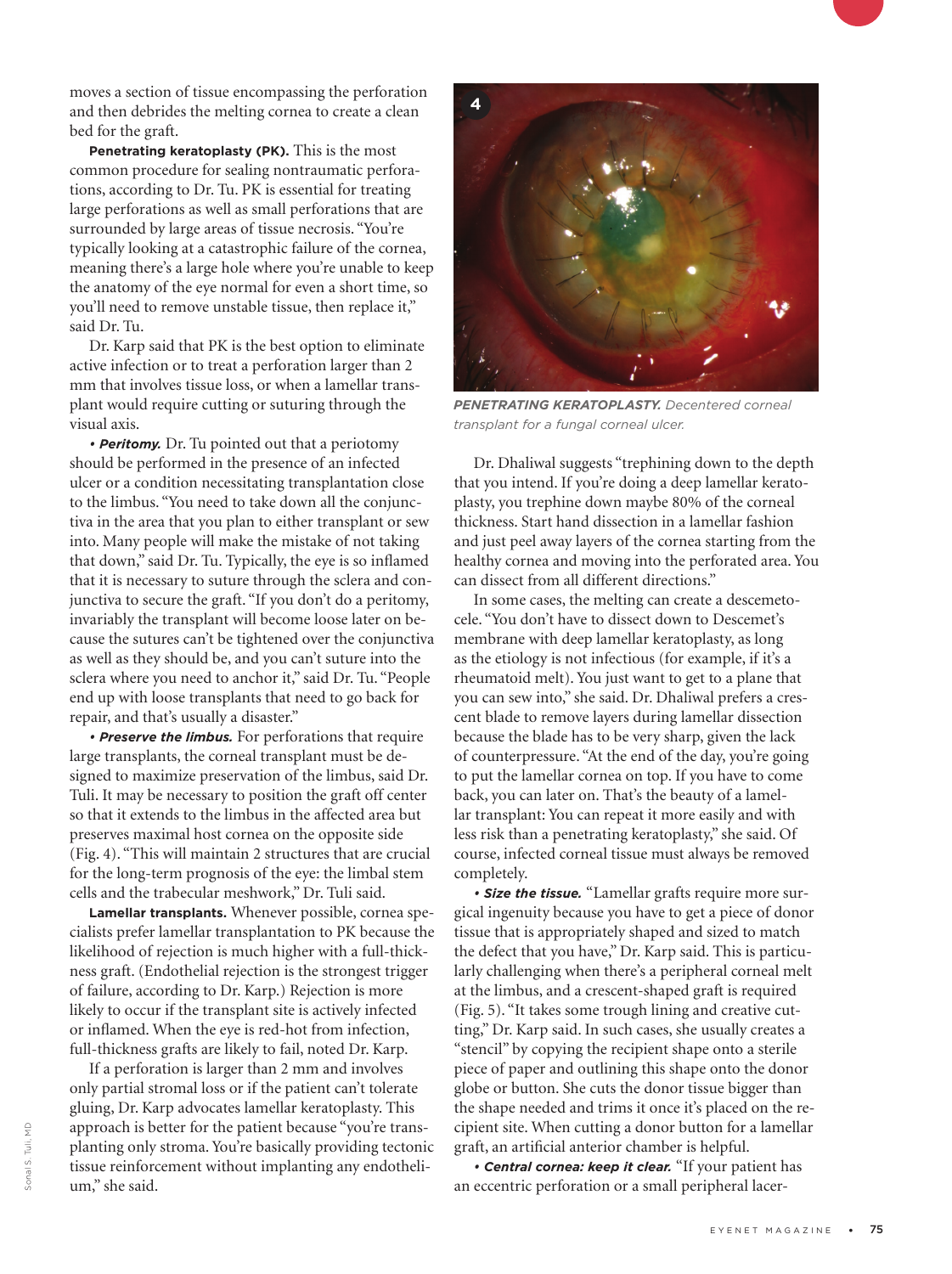moves a section of tissue encompassing the perforation and then debrides the melting cornea to create a clean bed for the graft.

**Penetrating keratoplasty (PK).** This is the most common procedure for sealing nontraumatic perforations, according to Dr. Tu. PK is essential for treating large perforations as well as small perforations that are surrounded by large areas of tissue necrosis. "You're typically looking at a catastrophic failure of the cornea, meaning there's a large hole where you're unable to keep the anatomy of the eye normal for even a short time, so you'll need to remove unstable tissue, then replace it," said Dr. Tu.

Dr. Karp said that PK is the best option to eliminate active infection or to treat a perforation larger than 2 mm that involves tissue loss, or when a lamellar transplant would require cutting or suturing through the visual axis.

*• Peritomy.* Dr. Tu pointed out that a periotomy should be performed in the presence of an infected ulcer or a condition necessitating transplantation close to the limbus. "You need to take down all the conjunctiva in the area that you plan to either transplant or sew into. Many people will make the mistake of not taking that down," said Dr. Tu. Typically, the eye is so inflamed that it is necessary to suture through the sclera and conjunctiva to secure the graft. "If you don't do a peritomy, invariably the transplant will become loose later on because the sutures can't be tightened over the conjunctiva as well as they should be, and you can't suture into the sclera where you need to anchor it," said Dr. Tu. "People end up with loose transplants that need to go back for repair, and that's usually a disaster."

*• Preserve the limbus.* For perforations that require large transplants, the corneal transplant must be designed to maximize preservation of the limbus, said Dr. Tuli. It may be necessary to position the graft off center so that it extends to the limbus in the affected area but preserves maximal host cornea on the opposite side (Fig. 4). "This will maintain 2 structures that are crucial for the long-term prognosis of the eye: the limbal stem cells and the trabecular meshwork," Dr. Tuli said.

**Lamellar transplants.** Whenever possible, cornea specialists prefer lamellar transplantation to PK because the likelihood of rejection is much higher with a full-thickness graft. (Endothelial rejection is the strongest trigger of failure, according to Dr. Karp.) Rejection is more likely to occur if the transplant site is actively infected or inflamed. When the eye is red-hot from infection, full-thickness grafts are likely to fail, noted Dr. Karp.

If a perforation is larger than 2 mm and involves only partial stromal loss or if the patient can't tolerate gluing, Dr. Karp advocates lamellar keratoplasty. This approach is better for the patient because "you're transplanting only stroma. You're basically providing tectonic tissue reinforcement without implanting any endothelium," she said.



*PENETRATING KERATOPLASTY. Decentered corneal transplant for a fungal corneal ulcer.*

Dr. Dhaliwal suggests "trephining down to the depth that you intend. If you're doing a deep lamellar keratoplasty, you trephine down maybe 80% of the corneal thickness. Start hand dissection in a lamellar fashion and just peel away layers of the cornea starting from the healthy cornea and moving into the perforated area. You can dissect from all different directions."

In some cases, the melting can create a descemetocele. "You don't have to dissect down to Descemet's membrane with deep lamellar keratoplasty, as long as the etiology is not infectious (for example, if it's a rheumatoid melt). You just want to get to a plane that you can sew into," she said. Dr. Dhaliwal prefers a crescent blade to remove layers during lamellar dissection because the blade has to be very sharp, given the lack of counterpressure. "At the end of the day, you're going to put the lamellar cornea on top. If you have to come back, you can later on. That's the beauty of a lamellar transplant: You can repeat it more easily and with less risk than a penetrating keratoplasty," she said. Of course, infected corneal tissue must always be removed completely.

*• Size the tissue.* "Lamellar grafts require more surgical ingenuity because you have to get a piece of donor tissue that is appropriately shaped and sized to match the defect that you have," Dr. Karp said. This is particularly challenging when there's a peripheral corneal melt at the limbus, and a crescent-shaped graft is required (Fig. 5). "It takes some trough lining and creative cutting," Dr. Karp said. In such cases, she usually creates a "stencil" by copying the recipient shape onto a sterile piece of paper and outlining this shape onto the donor globe or button. She cuts the donor tissue bigger than the shape needed and trims it once it's placed on the recipient site. When cutting a donor button for a lamellar graft, an artificial anterior chamber is helpful.

*• Central cornea: keep it clear.* "If your patient has an eccentric perforation or a small peripheral lacer